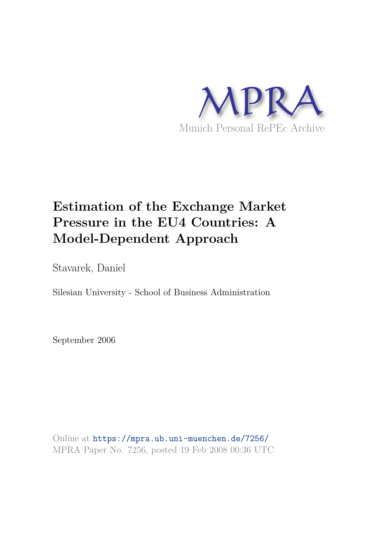

# **Estimation of the Exchange Market Pressure in the EU4 Countries: A Model-Dependent Approach**

Stavarek, Daniel

Silesian University - School of Business Administration

September 2006

Online at https://mpra.ub.uni-muenchen.de/7256/ MPRA Paper No. 7256, posted 19 Feb 2008 00:36 UTC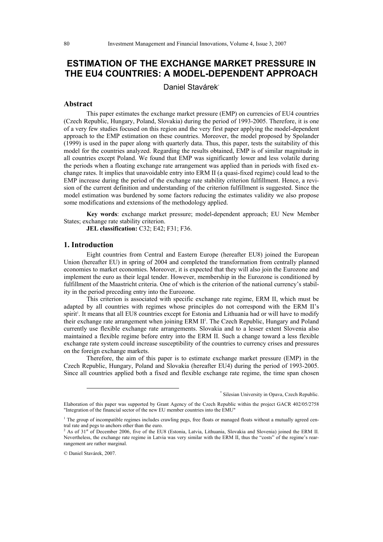# **ESTIMATION OF THE EXCHANGE MARKET PRESSURE IN THE EU4 COUNTRIES: A MODEL-DEPENDENT APPROACH**

Daniel Stavárek\*

#### **Abstract**

This paper estimates the exchange market pressure (EMP) on currencies of EU4 countries (Czech Republic, Hungary, Poland, Slovakia) during the period of 1993-2005. Therefore, it is one of a very few studies focused on this region and the very first paper applying the model-dependent approach to the EMP estimation on these countries. Moreover, the model proposed by Spolander (1999) is used in the paper along with quarterly data. Thus, this paper, tests the suitability of this model for the countries analyzed. Regarding the results obtained, EMP is of similar magnitude in all countries except Poland. We found that EMP was significantly lower and less volatile during the periods when a floating exchange rate arrangement was applied than in periods with fixed exchange rates. It implies that unavoidable entry into ERM II (a quasi-fixed regime) could lead to the EMP increase during the period of the exchange rate stability criterion fulfillment. Hence, a revision of the current definition and understanding of the criterion fulfillment is suggested. Since the model estimation was burdened by some factors reducing the estimates validity we also propose some modifications and extensions of the methodology applied.

**Key words**: exchange market pressure; model-dependent approach; EU New Member States; exchange rate stability criterion.

**JEL classification:** C32; E42; F31; F36.

### **1. Introduction**

Eight countries from Central and Eastern Europe (hereafter EU8) joined the European Union (hereafter EU) in spring of 2004 and completed the transformation from centrally planned economies to market economies. Moreover, it is expected that they will also join the Eurozone and implement the euro as their legal tender. However, membership in the Eurozone is conditioned by fulfillment of the Maastricht criteria. One of which is the criterion of the national currency's stability in the period preceding entry into the Eurozone.

This criterion is associated with specific exchange rate regime, ERM II, which must be adapted by all countries with regimes whose principles do not correspond with the ERM II's spirit<sup>1</sup>. It means that all EU8 countries except for Estonia and Lithuania had or will have to modify their exchange rate arrangement when joining ERM II<sup>2</sup>. The Czech Republic, Hungary and Poland currently use flexible exchange rate arrangements. Slovakia and to a lesser extent Slovenia also maintained a flexible regime before entry into the ERM II. Such a change toward a less flexible exchange rate system could increase susceptibility of the countries to currency crises and pressures on the foreign exchange markets.

Therefore, the aim of this paper is to estimate exchange market pressure (EMP) in the Czech Republic, Hungary, Poland and Slovakia (hereafter EU4) during the period of 1993-2005. Since all countries applied both a fixed and flexible exchange rate regime, the time span chosen

<sup>\*</sup> Silesian University in Opava, Czech Republic.

Elaboration of this paper was supported by Grant Agency of the Czech Republic within the project GACR 402/05/2758 "Integration of the financial sector of the new EU member countries into the EMU"

<sup>&</sup>lt;sup>1</sup> The group of incompatible regimes includes crawling pegs, free floats or managed floats without a mutually agreed central rate and pegs to anchors other than the euro.<br> $^{2}$ , As of  $21^{st}$  of December 2006, five of the EU

As of 31<sup>st</sup> of December 2006, five of the EU8 (Estonia, Latvia, Lithuania, Slovakia and Slovenia) joined the ERM II. Nevertheless, the exchange rate regime in Latvia was very similar with the ERM II, thus the "costs" of the regime's rearrangement are rather marginal.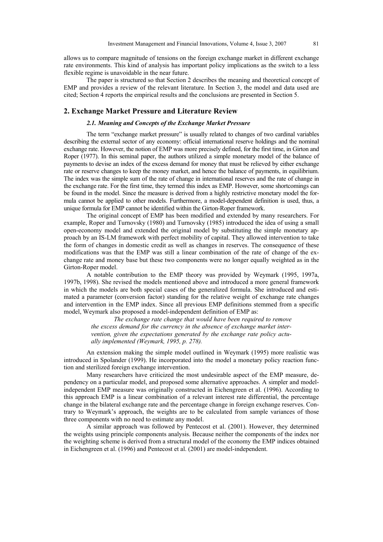allows us to compare magnitude of tensions on the foreign exchange market in different exchange rate environments. This kind of analysis has important policy implications as the switch to a less flexible regime is unavoidable in the near future.

The paper is structured so that Section 2 describes the meaning and theoretical concept of EMP and provides a review of the relevant literature. In Section 3, the model and data used are cited; Section 4 reports the empirical results and the conclusions are presented in Section 5.

## **2. Exchange Market Pressure and Literature Review**

#### *2.1. Meaning and Concepts of the Exchange Market Pressure*

The term "exchange market pressure" is usually related to changes of two cardinal variables describing the external sector of any economy: official international reserve holdings and the nominal exchange rate. However, the notion of EMP was more precisely defined, for the first time, in Girton and Roper (1977). In this seminal paper, the authors utilized a simple monetary model of the balance of payments to devise an index of the excess demand for money that must be relieved by either exchange rate or reserve changes to keep the money market, and hence the balance of payments, in equilibrium. The index was the simple sum of the rate of change in international reserves and the rate of change in the exchange rate. For the first time, they termed this index as EMP. However, some shortcomings can be found in the model. Since the measure is derived from a highly restrictive monetary model the formula cannot be applied to other models. Furthermore, a model-dependent definition is used, thus, a unique formula for EMP cannot be identified within the Girton-Roper framework.

The original concept of EMP has been modified and extended by many researchers. For example, Roper and Turnovsky (1980) and Turnovsky (1985) introduced the idea of using a small open-economy model and extended the original model by substituting the simple monetary approach by an IS-LM framework with perfect mobility of capital. They allowed intervention to take the form of changes in domestic credit as well as changes in reserves. The consequence of these modifications was that the EMP was still a linear combination of the rate of change of the exchange rate and money base but these two components were no longer equally weighted as in the Girton-Roper model.

A notable contribution to the EMP theory was provided by Weymark (1995, 1997a, 1997b, 1998). She revised the models mentioned above and introduced a more general framework in which the models are both special cases of the generalized formula. She introduced and estimated a parameter (conversion factor) standing for the relative weight of exchange rate changes and intervention in the EMP index. Since all previous EMP definitions stemmed from a specific model, Weymark also proposed a model-independent definition of EMP as:

> *The exchange rate change that would have been required to remove the excess demand for the currency in the absence of exchange market intervention, given the expectations generated by the exchange rate policy actually implemented (Weymark, 1995, p. 278).*

An extension making the simple model outlined in Weymark (1995) more realistic was introduced in Spolander (1999). He incorporated into the model a monetary policy reaction function and sterilized foreign exchange intervention.

Many researchers have criticized the most undesirable aspect of the EMP measure, dependency on a particular model, and proposed some alternative approaches. A simpler and modelindependent EMP measure was originally constructed in Eichengreen et al. (1996). According to this approach EMP is a linear combination of a relevant interest rate differential, the percentage change in the bilateral exchange rate and the percentage change in foreign exchange reserves. Contrary to Weymark's approach, the weights are to be calculated from sample variances of those three components with no need to estimate any model.

A similar approach was followed by Pentecost et al. (2001). However, they determined the weights using principle components analysis. Because neither the components of the index nor the weighting scheme is derived from a structural model of the economy the EMP indices obtained in Eichengreen et al. (1996) and Pentecost et al. (2001) are model-independent.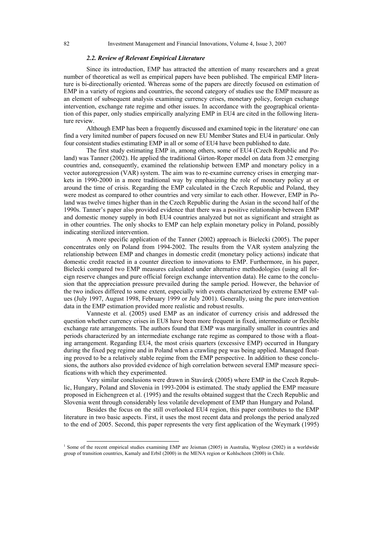#### *2.2. Review of Relevant Empirical Literature*

Since its introduction, EMP has attracted the attention of many researchers and a great number of theoretical as well as empirical papers have been published. The empirical EMP literature is bi-directionally oriented. Whereas some of the papers are directly focused on estimation of EMP in a variety of regions and countries, the second category of studies use the EMP measure as an element of subsequent analysis examining currency crises, monetary policy, foreign exchange intervention, exchange rate regime and other issues. In accordance with the geographical orientation of this paper, only studies empirically analyzing EMP in EU4 are cited in the following literature review.

Although EMP has been a frequently discussed and examined topic in the literature' one can find a very limited number of papers focused on new EU Member States and EU4 in particular. Only four consistent studies estimating EMP in all or some of EU4 have been published to date.

The first study estimating EMP in, among others, some of EU4 (Czech Republic and Poland) was Tanner (2002). He applied the traditional Girton-Roper model on data from 32 emerging countries and, consequently, examined the relationship between EMP and monetary policy in a vector autoregression (VAR) system. The aim was to re-examine currency crises in emerging markets in 1990-2000 in a more traditional way by emphasizing the role of monetary policy at or around the time of crisis. Regarding the EMP calculated in the Czech Republic and Poland, they were modest as compared to other countries and very similar to each other. However, EMP in Poland was twelve times higher than in the Czech Republic during the Asian in the second half of the 1990s. Tanner's paper also provided evidence that there was a positive relationship between EMP and domestic money supply in both EU4 countries analyzed but not as significant and straight as in other countries. The only shocks to EMP can help explain monetary policy in Poland, possibly indicating sterilized intervention.

A more specific application of the Tanner (2002) approach is Bielecki (2005). The paper concentrates only on Poland from 1994-2002. The results from the VAR system analyzing the relationship between EMP and changes in domestic credit (monetary policy actions) indicate that domestic credit reacted in a counter direction to innovations to EMP. Furthermore, in his paper, Bielecki compared two EMP measures calculated under alternative methodologies (using all foreign reserve changes and pure official foreign exchange intervention data). He came to the conclusion that the appreciation pressure prevailed during the sample period. However, the behavior of the two indices differed to some extent, especially with events characterized by extreme EMP values (July 1997, August 1998, February 1999 or July 2001). Generally, using the pure intervention data in the EMP estimation provided more realistic and robust results.

Vanneste et al. (2005) used EMP as an indicator of currency crisis and addressed the question whether currency crises in EU8 have been more frequent in fixed, intermediate or flexible exchange rate arrangements. The authors found that EMP was marginally smaller in countries and periods characterized by an intermediate exchange rate regime as compared to those with a floating arrangement. Regarding EU4, the most crisis quarters (excessive EMP) occurred in Hungary during the fixed peg regime and in Poland when a crawling peg was being applied. Managed floating proved to be a relatively stable regime from the EMP perspective. In addition to these conclusions, the authors also provided evidence of high correlation between several EMP measure specifications with which they experimented.

Very similar conclusions were drawn in Stavárek (2005) where EMP in the Czech Republic, Hungary, Poland and Slovenia in 1993-2004 is estimated. The study applied the EMP measure proposed in Eichengreen et al. (1995) and the results obtained suggest that the Czech Republic and Slovenia went through considerably less volatile development of EMP than Hungary and Poland.

Besides the focus on the still overlooked EU4 region, this paper contributes to the EMP literature in two basic aspects. First, it uses the most recent data and prolongs the period analyzed to the end of 2005. Second, this paper represents the very first application of the Weymark (1995)

<sup>&</sup>lt;sup>1</sup> Some of the recent empirical studies examining EMP are Jeisman (2005) in Australia, Wyplosz (2002) in a worldwide group of transition countries, Kamaly and Erbil (2000) in the MENA region or Kohlscheen (2000) in Chile.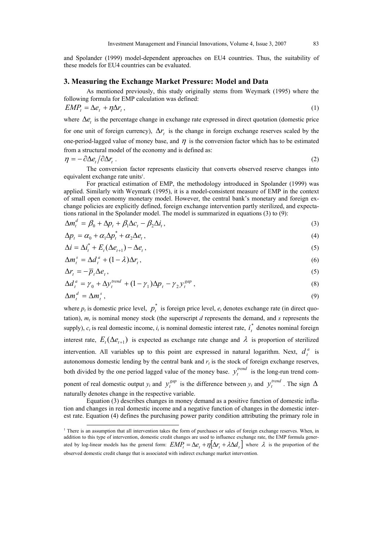and Spolander (1999) model-dependent approaches on EU4 countries. Thus, the suitability of these models for EU4 countries can be evaluated.

#### **3. Measuring the Exchange Market Pressure: Model and Data**

As mentioned previously, this study originally stems from Weymark (1995) where the following formula for EMP calculation was defined:

$$
EMP_t = \Delta e_t + \eta \Delta r_t, \qquad (1)
$$

where  $\Delta e_t$  is the percentage change in exchange rate expressed in direct quotation (domestic price

for one unit of foreign currency),  $\Delta r$ , is the change in foreign exchange reserves scaled by the one-period-lagged value of money base, and  $n$  is the conversion factor which has to be estimated from a structural model of the economy and is defined as:

$$
\eta = -\partial \Delta e_t / \partial \Delta r_t \tag{2}
$$

The conversion factor represents elasticity that converts observed reserve changes into equivalent exchange rate units<sup>1</sup>.

For practical estimation of EMP, the methodology introduced in Spolander (1999) was applied. Similarly with Weymark (1995), it is a model-consistent measure of EMP in the context of small open economy monetary model. However, the central bank's monetary and foreign exchange policies are explicitly defined, foreign exchange intervention partly sterilized, and expectations rational in the Spolander model. The model is summarized in equations (3) to (9):

$$
\Delta m_t^d = \beta_0 + \Delta p_t + \beta_1 \Delta c_t - \beta_2 \Delta i_t,\tag{3}
$$

$$
\Delta p_t = \alpha_0 + \alpha_1 \Delta p_t^* + \alpha_2 \Delta e_t,\tag{4}
$$

$$
\Delta i = \Delta i_t^* + E_t(\Delta e_{t+1}) - \Delta e_t, \qquad (5)
$$

$$
\Delta m_t^s = \Delta d_t^a + (1 - \lambda)\Delta r_t,\tag{6}
$$

$$
\Delta r_t = -\overline{p}_t \Delta e_t,\tag{5}
$$

$$
\Delta d_t^a = \gamma_0 + \Delta y_t^{trend} + (1 - \gamma_1) \Delta p_t - \gamma_2 y_t^{gap}, \qquad (8)
$$

$$
\Delta m_t^d = \Delta m_t^s \,, \tag{9}
$$

where  $p_t$  is domestic price level,  $p_t^*$  is foreign price level,  $e_t$  denotes exchange rate (in direct quotation),  $m_t$  is nominal money stock (the superscript *d* represents the demand, and *s* represents the supply),  $c_t$  is real domestic income,  $i_t$  is nominal domestic interest rate,  $i_t^*$  denotes nominal foreign interest rate,  $E_t(\Delta e_{t+1})$  is expected as exchange rate change and  $\lambda$  is proportion of sterilized intervention. All variables up to this point are expressed in natural logarithm. Next,  $d_t^a$  is autonomous domestic lending by the central bank and  $r<sub>t</sub>$  is the stock of foreign exchange reserves, both divided by the one period lagged value of the money base.  $y_t^{trend}$  is the long-run trend component of real domestic output  $y_t$  and  $y_t^{gap}$  is the difference between  $y_t$  and  $y_t^{trend}$ . The sign  $\Delta$ naturally denotes change in the respective variable.

Equation (3) describes changes in money demand as a positive function of domestic inflation and changes in real domestic income and a negative function of changes in the domestic interest rate. Equation (4) defines the purchasing power parity condition attributing the primary role in

<sup>&</sup>lt;sup>1</sup> There is an assumption that all intervention takes the form of purchases or sales of foreign exchange reserves. When, in addition to this type of intervention, domestic credit changes are used to influence exchange rate, the EMP formula generated by log-linear models has the general form:  $EMP_t = \Delta e_t + \eta[\Delta r_t + \lambda \Delta d_t]$  where  $\lambda$  is the proportion of the observed domestic credit change that is associated with indirect exchange market intervention.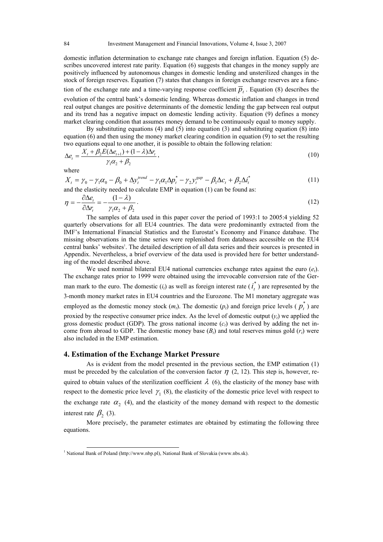domestic inflation determination to exchange rate changes and foreign inflation. Equation (5) describes uncovered interest rate parity. Equation (6) suggests that changes in the money supply are positively influenced by autonomous changes in domestic lending and unsterilized changes in the stock of foreign reserves. Equation (7) states that changes in foreign exchange reserves are a function of the exchange rate and a time-varying response coefficient  $\overline{p}_t$ . Equation (8) describes the evolution of the central bank's domestic lending. Whereas domestic inflation and changes in trend real output changes are positive determinants of the domestic lending the gap between real output and its trend has a negative impact on domestic lending activity. Equation (9) defines a money market clearing condition that assumes money demand to be continuously equal to money supply.

By substituting equations (4) and (5) into equation (3) and substituting equation (8) into equation (6) and then using the money market clearing condition in equation (9) to set the resulting two equations equal to one another, it is possible to obtain the following relation:

$$
\Delta e_t = \frac{X_t + \beta_2 E(\Delta e_{t+1}) + (1 - \lambda)\Delta r_t}{\gamma_1 \alpha_2 + \beta_2},\tag{10}
$$

where

$$
X_t = \gamma_0 - \gamma_1 \alpha_0 - \beta_0 + \Delta y_t^{read} - \gamma_1 \alpha_1 \Delta p_t^* - \gamma_2 y_t^{gap} - \beta_1 \Delta c_t + \beta_2 \Delta i_t^*
$$
  
and the elasticity needed to calculate EMP in equation (1) can be found as:

$$
\eta = -\frac{\partial \Delta e_t}{\partial \Delta r_t} = -\frac{(1 - \lambda)}{\gamma_1 \alpha_2 + \beta_2}.
$$
\n(12)

The samples of data used in this paper cover the period of 1993:1 to 2005:4 yielding 52 quarterly observations for all EU4 countries. The data were predominantly extracted from the IMF's International Financial Statistics and the Eurostat's Economy and Finance database. The missing observations in the time series were replenished from databases accessible on the EU4 central banks' websites'. The detailed description of all data series and their sources is presented in Appendix. Nevertheless, a brief overview of the data used is provided here for better understanding of the model described above.

We used nominal bilateral EU4 national currencies exchange rates against the euro (*et*). The exchange rates prior to 1999 were obtained using the irrevocable conversion rate of the German mark to the euro. The domestic  $(i_t)$  as well as foreign interest rate  $(i_t^*)$  are represented by the 3-month money market rates in EU4 countries and the Eurozone. The M1 monetary aggregate was employed as the domestic money stock  $(m_t)$ . The domestic  $(p_t)$  and foreign price levels  $(p_t^*)$  are proxied by the respective consumer price index. As the level of domestic output  $(v<sub>i</sub>)$  we applied the gross domestic product (GDP). The gross national income  $(c<sub>t</sub>)$  was derived by adding the net income from abroad to GDP. The domestic money base  $(B_t)$  and total reserves minus gold  $(r_t)$  were also included in the EMP estimation.

#### **4. Estimation of the Exchange Market Pressure**

As is evident from the model presented in the previous section, the EMP estimation (1) must be preceded by the calculation of the conversion factor  $\eta$  (2, 12). This step is, however, required to obtain values of the sterilization coefficient  $\lambda$  (6), the elasticity of the money base with respect to the domestic price level  $\gamma_1$  (8), the elasticity of the domestic price level with respect to the exchange rate  $\alpha_2$  (4), and the elasticity of the money demand with respect to the domestic interest rate  $\beta_2$  (3).

More precisely, the parameter estimates are obtained by estimating the following three equations.

<sup>&</sup>lt;sup>1</sup> National Bank of Poland (http://www.nbp.pl), National Bank of Slovakia (www.nbs.sk).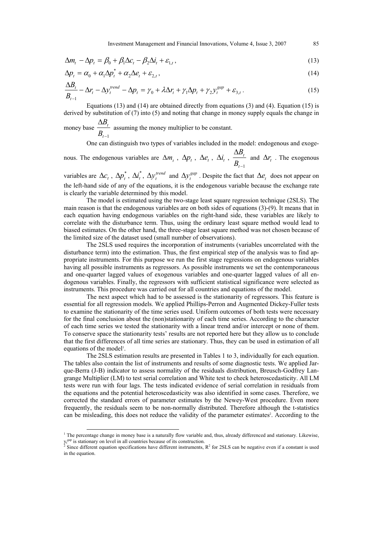Investment Management and Financial Innovations, Volume 4, Issue 3, 2007 85

$$
\Delta m_t - \Delta p_t = \beta_0 + \beta_1 \Delta c_t - \beta_2 \Delta i_t + \varepsilon_{1,t},
$$
\n(13)

$$
\Delta p_t = \alpha_0 + \alpha_1 \Delta p_t^* + \alpha_2 \Delta e_t + \varepsilon_{2,t},\tag{14}
$$

$$
\frac{\Delta B_t}{B_{t-1}} - \Delta r_t - \Delta y_t^{trend} - \Delta p_t = \gamma_0 + \lambda \Delta r_t + \gamma_1 \Delta p_t + \gamma_2 y_t^{gap} + \varepsilon_{3,t} \,. \tag{15}
$$

Equations (13) and (14) are obtained directly from equations (3) and (4). Equation (15) is derived by substitution of (7) into (5) and noting that change in money supply equals the change in  $\Delta B_t$  $B_t$  assuming the money multiplier to be constant.

money base −1 *t B*

One can distinguish two types of variables included in the model: endogenous and exoge-

nous. The endogenous variables are  $\Delta m_t$ ,  $\Delta p_t$ ,  $\Delta e_t$ ,  $\Delta i_t$ , −1 Δ *t t B*  $\frac{B_t}{A}$  and  $\Delta r_t$ . The exogenous

variables are  $\Delta c_t$ ,  $\Delta p_t^*$ ,  $\Delta i_t^*$ ,  $\Delta y_t^{trend}$  and  $\Delta y_t^{gap}$ . Despite the fact that  $\Delta e_t$  does not appear on the left-hand side of any of the equations, it is the endogenous variable because the exchange rate is clearly the variable determined by this model.

The model is estimated using the two-stage least square regression technique (2SLS). The main reason is that the endogenous variables are on both sides of equations (3)-(9). It means that in each equation having endogenous variables on the right-hand side, these variables are likely to correlate with the disturbance term. Thus, using the ordinary least square method would lead to biased estimates. On the other hand, the three-stage least square method was not chosen because of the limited size of the dataset used (small number of observations).

The 2SLS used requires the incorporation of instruments (variables uncorrelated with the disturbance term) into the estimation. Thus, the first empirical step of the analysis was to find appropriate instruments. For this purpose we run the first stage regressions on endogenous variables having all possible instruments as regressors. As possible instruments we set the contemporaneous and one-quarter lagged values of exogenous variables and one-quarter lagged values of all endogenous variables. Finally, the regressors with sufficient statistical significance were selected as instruments. This procedure was carried out for all countries and equations of the model.

The next aspect which had to be assessed is the stationarity of regressors. This feature is essential for all regression models. We applied Phillips-Perron and Augmented Dickey-Fuller tests to examine the stationarity of the time series used. Uniform outcomes of both tests were necessary for the final conclusion about the (non)stationarity of each time series. According to the character of each time series we tested the stationarity with a linear trend and/or intercept or none of them. To conserve space the stationarity tests' results are not reported here but they allow us to conclude that the first differences of all time series are stationary. Thus, they can be used in estimation of all equations of the model<sup>1</sup>.

The 2SLS estimation results are presented in Tables 1 to 3, individually for each equation. The tables also contain the list of instruments and results of some diagnostic tests. We applied Jarque-Berra (J-B) indicator to assess normality of the residuals distribution, Breusch-Godfrey Langrange Multiplier (LM) to test serial correlation and White test to check heteroscedasticity. All LM tests were run with four lags. The tests indicated evidence of serial correlation in residuals from the equations and the potential heteroscedasticity was also identified in some cases. Therefore, we corrected the standard errors of parameter estimates by the Newey-West procedure. Even more frequently, the residuals seem to be non-normally distributed. Therefore although the t-statistics can be misleading, this does not reduce the validity of the parameter estimates<sup>2</sup>. According to the

 1 The percentage change in money base is a naturally flow variable and, thus, already differenced and stationary. Likewise,  $y_t^{gap}$  is stationary on level in all countries because of its construction.<br><sup>2</sup> Since different equation specifications have different instruments, R<sup>2</sup> for 2SLS can be negative even if a constant is used

in the equation.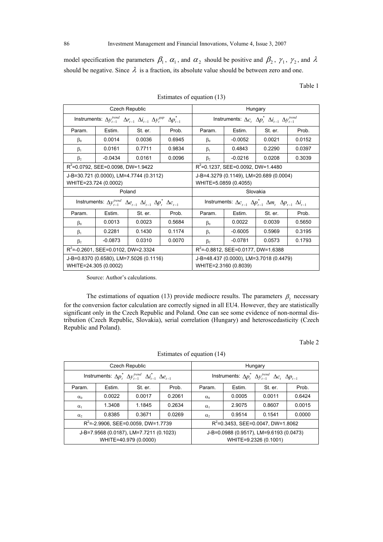model specification the parameters  $\beta_1$ ,  $\alpha_1$ , and  $\alpha_2$  should be positive and  $\beta_2$ ,  $\gamma_1$ ,  $\gamma_2$ , and  $\lambda$ should be negative. Since  $\lambda$  is a fraction, its absolute value should be between zero and one.

Table 1

|                                                                                                                 |                                      | Czech Republic                                                                                          |        |                                                                                                 |                                      | Hungary                                                                                     |        |  |
|-----------------------------------------------------------------------------------------------------------------|--------------------------------------|---------------------------------------------------------------------------------------------------------|--------|-------------------------------------------------------------------------------------------------|--------------------------------------|---------------------------------------------------------------------------------------------|--------|--|
| Instruments: $\Delta y_{t-1}^{trend}$ $\Delta r_{t-1}$ $\Delta i_{t-1}$ $\Delta y_t^{gap}$ $\Delta p_{t-1}^{*}$ |                                      |                                                                                                         |        |                                                                                                 |                                      | Instruments: $\Delta c$ , $\Delta p_t^*$ $\Delta i$ <sub>t-1</sub> $\Delta y_{t-1}^{trend}$ |        |  |
| Param.                                                                                                          | Estim.                               | St. er.                                                                                                 | Prob.  | St. er.<br>Estim.<br>Prob.<br>Param.                                                            |                                      |                                                                                             |        |  |
| $\beta_0$                                                                                                       | 0.0014                               | 0.0036                                                                                                  | 0.6945 | $\beta_0$                                                                                       | $-0.0052$                            | 0.0021                                                                                      | 0.0152 |  |
| $\beta_1$                                                                                                       | 0.0161                               | 0.7711                                                                                                  | 0.9834 | $\beta_1$                                                                                       | 0.4843                               | 0.2290                                                                                      | 0.0397 |  |
| $\beta_2$                                                                                                       | $-0.0434$                            | 0.0161                                                                                                  | 0.0096 | $\beta_2$                                                                                       | $-0.0216$                            | 0.0208                                                                                      | 0.3039 |  |
|                                                                                                                 | $R^2$ =0.0792, SEE=0.0098, DW=1.9422 |                                                                                                         |        |                                                                                                 | $R^2$ =0.1237, SEE=0.0092, DW=1.4480 |                                                                                             |        |  |
| WHITE=23.724 (0.0002)                                                                                           |                                      | J-B=30.721 (0.0000), LM=4.7744 (0.3112)                                                                 |        | J-B=4.3279 (0.1149), LM=20.689 (0.0004)                                                         |                                      |                                                                                             |        |  |
|                                                                                                                 |                                      |                                                                                                         |        | WHITE=5.0859 (0.4055)                                                                           |                                      |                                                                                             |        |  |
|                                                                                                                 |                                      | Poland                                                                                                  |        | Slovakia                                                                                        |                                      |                                                                                             |        |  |
|                                                                                                                 |                                      | Instruments: $\Delta y_{t-1}^{trend}$ $\Delta e_{t-1}$ $\Delta i_{t-1}$ $\Delta p_t^*$ $\Delta c_{t-1}$ |        | Instruments: $\Delta c_{t-1}$ $\Delta p_{t-1}^*$ $\Delta m_t$ $\Delta p_{t-1}$ $\Delta i_{t-1}$ |                                      |                                                                                             |        |  |
| Param.                                                                                                          | Estim.                               | St. er.                                                                                                 | Prob.  | Param.                                                                                          | Estim.                               | St. er.                                                                                     | Prob.  |  |
| $\beta_0$                                                                                                       | 0.0013                               | 0.0023                                                                                                  | 0.5684 | $\beta_0$                                                                                       | 0.0022                               | 0.0039                                                                                      | 0.5650 |  |
| $\beta_1$                                                                                                       | 0.2281                               | 0.1430                                                                                                  | 0.1174 | $\beta_1$                                                                                       | $-0.6005$                            | 0.5969                                                                                      | 0.3195 |  |
| $\beta_2$                                                                                                       | $-0.0873$                            | 0.0310                                                                                                  | 0.0070 | $\beta_2$                                                                                       | $-0.0781$                            | 0.0573                                                                                      | 0.1793 |  |
| $R^2$ =-0.2601, SEE=0.0102, DW=2.3324                                                                           |                                      |                                                                                                         |        | $R^2$ =-0.8812, SEE=0.0177, DW=1.6388                                                           |                                      |                                                                                             |        |  |
| J-B=0.8370 (0.6580), LM=7.5026 (0.1116)<br>WHITE=24.305 (0.0002)                                                |                                      |                                                                                                         |        | J-B=48.437 (0.0000), LM=3.7018 (0.4479)<br>WHITE=2.3160 (0.8039)                                |                                      |                                                                                             |        |  |
|                                                                                                                 |                                      |                                                                                                         |        |                                                                                                 |                                      |                                                                                             |        |  |

#### Estimates of equation (13)

Source: Author's calculations.

The estimations of equation (13) provide mediocre results. The parameters  $\beta_2$  necessary for the conversion factor calculation are correctly signed in all EU4. However, they are statistically significant only in the Czech Republic and Poland. One can see some evidence of non-normal distribution (Czech Republic, Slovakia), serial correlation (Hungary) and heteroscedasticity (Czech Republic and Poland).

Table 2

|                                                                  |                                                                                          | Czech Republic   |        |            |        | Hungary                                                                            |        |
|------------------------------------------------------------------|------------------------------------------------------------------------------------------|------------------|--------|------------|--------|------------------------------------------------------------------------------------|--------|
|                                                                  | Instruments: $\Delta p_i^*$ $\Delta y_{t-1}^{trend}$ $\Delta i_{t-1}^*$ $\Delta e_{t-1}$ |                  |        |            |        | Instruments: $\Delta p_i^*$ $\Delta y_{t-1}^{trend}$ $\Delta c_i$ $\Delta p_{t-1}$ |        |
| Param.                                                           | Estim.                                                                                   | Prob.<br>St. er. |        |            | Estim. | St. er.                                                                            | Prob.  |
| $\alpha_0$                                                       | 0.0022                                                                                   | 0.2061<br>0.0017 |        | $\alpha_0$ | 0.0005 | 0.0011                                                                             | 0.6424 |
| $\alpha_1$                                                       | 1.3408                                                                                   | 1.1845           | 0.2634 | $\alpha_1$ | 2.9075 | 0.8607                                                                             | 0.0015 |
| $\alpha_2$                                                       | 0.8385<br>0.3671<br>0.0269                                                               |                  |        | $\alpha_2$ | 0.9514 | 0.1541                                                                             | 0.0000 |
| $R^2$ =-2.9906, SEE=0.0059, DW=1.7739                            |                                                                                          |                  |        |            |        | $R^2$ =0.3453, SEE=0.0047, DW=1.8062                                               |        |
| J-B=7.9568 (0.0187), LM=7.7211 (0.1023)<br>WHITE=40.979 (0.0000) |                                                                                          |                  |        |            |        | J-B=0.0988 (0.9517), LM=9.6193 (0.0473)<br>WHITE=9.2326 (0.1001)                   |        |

Estimates of equation (14)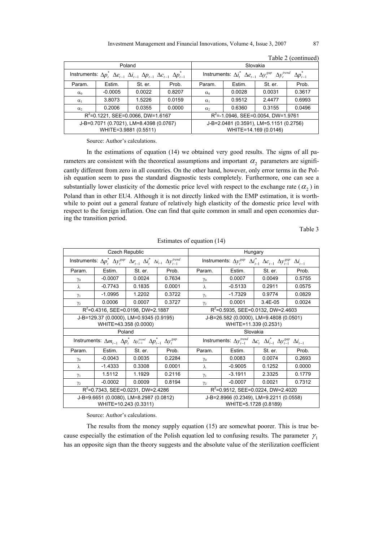|                                                                                                                    |           |                                                                  |        |            |                                                                                      |                       | I able 2 (continued) |
|--------------------------------------------------------------------------------------------------------------------|-----------|------------------------------------------------------------------|--------|------------|--------------------------------------------------------------------------------------|-----------------------|----------------------|
|                                                                                                                    |           | Poland                                                           |        |            | Slovakia                                                                             |                       |                      |
| Instruments: $\Delta p_t^*$ $\Delta e_{t-1}$ $\Delta i_{t-1}$ $\Delta p_{t-1}$ $\Delta c_{t-1}$ $\Delta p_{t-1}^*$ |           |                                                                  |        |            | Instruments: $\Delta i_t^*$ $\Delta e_{t-1}$ $\Delta y_t^{gap}$ $\Delta y_t^{trend}$ |                       | $\Delta p_{t-1}^*$   |
| Param.                                                                                                             | Estim.    | St. er.                                                          | Prob.  | Param.     | Estim.                                                                               | St. er.               | Prob.                |
| $\alpha_0$                                                                                                         | $-0.0005$ | 0.0022                                                           | 0.8207 | $\alpha_0$ | 0.0028                                                                               | 0.0031                | 0.3617               |
| $\alpha_1$                                                                                                         | 3.8073    | 1.5226                                                           | 0.0159 | $\alpha_1$ | 0.9512                                                                               | 2.4477                | 0.6993               |
| $\alpha$                                                                                                           | 0.2006    | 0.0355                                                           | 0.0000 | $\alpha$   | 0.6360                                                                               | 0.3155                | 0.0496               |
| $R^2$ =0.1221, SEE=0.0066, DW=1.6167                                                                               |           |                                                                  |        |            | $R^2$ =-1.0946, SEE=0.0054, DW=1.9761                                                |                       |                      |
|                                                                                                                    |           | J-B=0.7071 (0.7021), LM=8.4398 (0.0767)<br>WHITE=3.9881 (0.5511) |        |            | J-B=2.0481 (0.3591), LM=5.1151 (0.2756)                                              | WHITE=14.169 (0.0146) |                      |
|                                                                                                                    |           |                                                                  |        |            |                                                                                      |                       |                      |

Table 2 (continued)

Source: Author's calculations.

In the estimations of equation (14) we obtained very good results. The signs of all parameters are consistent with the theoretical assumptions and important  $\alpha_2$  parameters are significantly different from zero in all countries. On the other hand, however, only error terms in the Polish equation seem to pass the standard diagnostic tests completely. Furthermore, one can see a substantially lower elasticity of the domestic price level with respect to the exchange rate  $(\alpha_2)$  in Poland than in other EU4. Although it is not directly linked with the EMP estimation, it is worthwhile to point out a general feature of relatively high elasticity of the domestic price level with respect to the foreign inflation. One can find that quite common in small and open economies during the transition period.

Table 3

|                                                                  |                                                                                                                          | Czech Republic        |        | Hungary                                                                                                       |                                                                                                             |           |        |
|------------------------------------------------------------------|--------------------------------------------------------------------------------------------------------------------------|-----------------------|--------|---------------------------------------------------------------------------------------------------------------|-------------------------------------------------------------------------------------------------------------|-----------|--------|
|                                                                  | Instruments: $\Delta p_t^*$ $\Delta y_t^{gap}$ $\Delta r_{t-1}$ $\Delta i_t^*$ $\Delta i_{t-1}$ $\Delta y_{t-1}^{trend}$ |                       |        |                                                                                                               | Instruments: $\Delta y_t^{gap}$ $\Delta i_{t-1}^*$ $\Delta c_{t-1}$ $\Delta y_{t-1}^{gap}$ $\Delta i_{t-1}$ |           |        |
| Param.                                                           | Estim.                                                                                                                   | St. er.               | Prob.  | Param.                                                                                                        | Estim.                                                                                                      | St. er.   | Prob.  |
| $\gamma_0$                                                       | $-0.0007$                                                                                                                | 0.0024                | 0.7634 | $\gamma_0$                                                                                                    | 0.0007                                                                                                      | 0.0049    | 0.5755 |
| λ                                                                | $-0.7743$                                                                                                                | 0.1835                | 0.0001 | λ                                                                                                             | $-0.5133$                                                                                                   | 0.2911    | 0.0575 |
| $\gamma_1$                                                       | $-1.0995$                                                                                                                | 1.2202                | 0.3722 | $\gamma_1$                                                                                                    | $-1.7329$                                                                                                   | 0.9774    | 0.0829 |
| $\gamma_2$                                                       | 0.0006                                                                                                                   | 0.0007                | 0.3727 | $\gamma_2$                                                                                                    | 0.0001                                                                                                      | $3.4E-05$ | 0.0024 |
|                                                                  | $R^2$ =0.4316, SEE=0.0198, DW=2.1887                                                                                     |                       |        |                                                                                                               | $R^2$ =0.5935, SEE=0.0132, DW=2.4603                                                                        |           |        |
|                                                                  | J-B=129.37 (0.0000), LM=0.9345 (0.9195)                                                                                  | WHITE=43.358 (0.0000) |        | J-B=26.582 (0.0000), LM=9.4808 (0.0501)<br>WHITE=11.339 (0.2531)                                              |                                                                                                             |           |        |
|                                                                  |                                                                                                                          | Poland                |        |                                                                                                               | Slovakia                                                                                                    |           |        |
|                                                                  | Instruments: $\Delta m_{t-1}$ $\Delta p_t^*$ $\Delta y_{t-1}^{trend}$ $\Delta p_{t-1}^*$ $\Delta y_t^{gap}$              |                       |        | Instruments: $\Delta y_{t-1}^{trend}$ $\Delta c_t$ $\Delta t_{t-1}^*$ $\Delta y_{t-1}^{gap}$ $\Delta t_{t-1}$ |                                                                                                             |           |        |
| Param.                                                           | Estim.                                                                                                                   | St. er.               | Prob.  | Param.                                                                                                        | Estim.                                                                                                      | St. er.   | Prob.  |
| $\gamma_0$                                                       | $-0.0043$                                                                                                                | 0.0035                | 0.2284 | $\gamma_0$                                                                                                    | 0.0083                                                                                                      | 0.0074    | 0.2693 |
| λ                                                                | $-1.4333$                                                                                                                | 0.3308                | 0.0001 | λ                                                                                                             | $-0.9005$                                                                                                   | 0.1252    | 0.0000 |
| $\gamma_1$                                                       | 1.5112                                                                                                                   | 1.1929                | 0.2116 | $\gamma_1$                                                                                                    | $-3.1911$                                                                                                   | 2.3325    | 0.1779 |
| $\gamma_2$                                                       | $-0.0002$                                                                                                                | 0.0009                | 0.8194 | $\gamma_2$                                                                                                    | $-0.0007$                                                                                                   | 0.0021    | 0.7312 |
|                                                                  | $R^2$ =0.7343, SEE=0.0231, DW=2.4286                                                                                     |                       |        | $R^2$ =0.9512, SEE=0.0224, DW=2.4020                                                                          |                                                                                                             |           |        |
| J-B=9.6651 (0.0080), LM=8.2987 (0.0812)<br>WHITE=10.243 (0.3311) |                                                                                                                          |                       |        |                                                                                                               | J-B=2.8966 (0.2349), LM=9.2211 (0.0558)<br>WHITE=5.1728 (0.8189)                                            |           |        |

Estimates of equation (14)

Source: Author's calculations.

The results from the money supply equation (15) are somewhat poorer. This is true because especially the estimation of the Polish equation led to confusing results. The parameter  $\gamma_1$ has an opposite sign than the theory suggests and the absolute value of the sterilization coefficient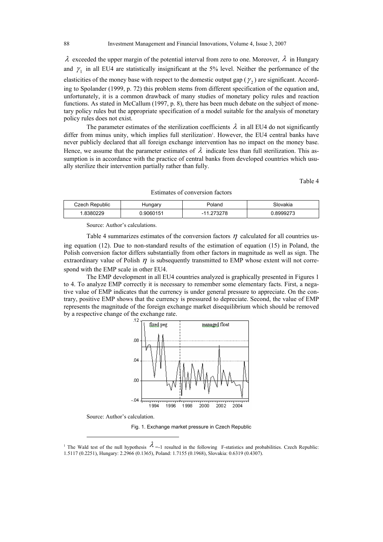$\lambda$  exceeded the upper margin of the potential interval from zero to one. Moreover,  $\lambda$  in Hungary and  $\gamma_1$  in all EU4 are statistically insignificant at the 5% level. Neither the performance of the elasticities of the money base with respect to the domestic output gap  $(\gamma_2)$  are significant. According to Spolander (1999, p. 72) this problem stems from different specification of the equation and, unfortunately, it is a common drawback of many studies of monetary policy rules and reaction functions. As stated in McCallum (1997, p. 8), there has been much debate on the subject of monetary policy rules but the appropriate specification of a model suitable for the analysis of monetary policy rules does not exist.

The parameter estimates of the sterilization coefficients  $\lambda$  in all EU4 do not significantly differ from minus unity, which implies full sterilization<sup>1</sup>. However, the EU4 central banks have never publicly declared that all foreign exchange intervention has no impact on the money base. Hence, we assume that the parameter estimates of  $\lambda$  indicate less than full sterilization. This assumption is in accordance with the practice of central banks from developed countries which usually sterilize their intervention partially rather than fully.

Table 4

|  | Estimates of conversion factors |  |
|--|---------------------------------|--|
|  |                                 |  |

| Czech Republic | Hungary   | Poland  | Slovakia  |
|----------------|-----------|---------|-----------|
| .8380229       | J.9060151 | .273278 | 0.8999273 |

Source: Author's calculations.

Table 4 summarizes estimates of the conversion factors  $\eta$  calculated for all countries using equation (12). Due to non-standard results of the estimation of equation (15) in Poland, the Polish conversion factor differs substantially from other factors in magnitude as well as sign. The extraordinary value of Polish  $\eta$  is subsequently transmitted to EMP whose extent will not correspond with the EMP scale in other EU4.

The EMP development in all EU4 countries analyzed is graphically presented in Figures 1 to 4. To analyze EMP correctly it is necessary to remember some elementary facts. First, a negative value of EMP indicates that the currency is under general pressure to appreciate. On the contrary, positive EMP shows that the currency is pressured to depreciate. Second, the value of EMP represents the magnitude of the foreign exchange market disequilibrium which should be removed by a respective change of the exchange rate.



Source: Author's calculation.

Fig. 1. Exchange market pressure in Czech Republic

<sup>&</sup>lt;sup>1</sup> The Wald test of the null hypothesis  $\lambda$  =-1 resulted in the following F-statistics and probabilities. Czech Republic: 1.5117 (0.2251), Hungary: 2.2966 (0.1365), Poland: 1.7155 (0.1968), Slovakia: 0.6319 (0.4307).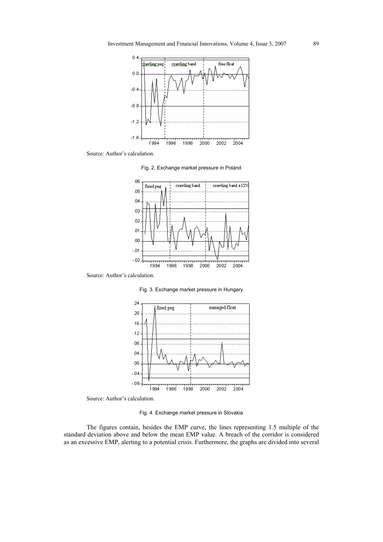

Source: Author's calculation.

Fig. 2. Exchange market pressure in Poland



Source: Author's calculation.





Source: Author's calculation.

Fig. 4. Exchange market pressure in Slovakia

The figures contain, besides the EMP curve, the lines representing 1.5 multiple of the standard deviation above and below the mean EMP value. A breach of the corridor is considered as an excessive EMP, alerting to a potential crisis. Furthermore, the graphs are divided into several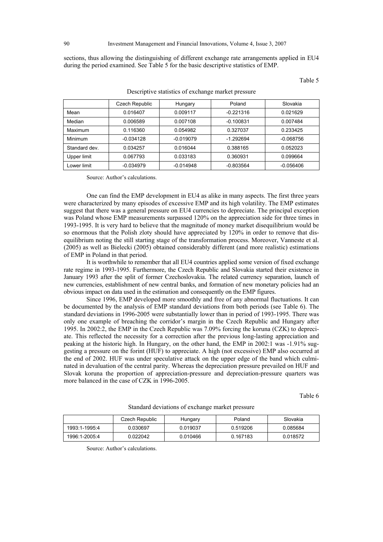sections, thus allowing the distinguishing of different exchange rate arrangements applied in EU4 during the period examined. See Table 5 for the basic descriptive statistics of EMP.

Table 5

|               | Czech Republic | Hungary     | Poland      | Slovakia    |
|---------------|----------------|-------------|-------------|-------------|
| Mean          | 0.016407       | 0.009117    | $-0.221316$ | 0.021629    |
| Median        | 0.006589       | 0.007108    | $-0.100831$ | 0.007484    |
| Maximum       | 0.116360       | 0.054982    | 0.327037    | 0.233425    |
| Minimum       | $-0.034128$    | $-0.019079$ | $-1.292694$ | $-0.068756$ |
| Standard dev. | 0.034257       | 0.016044    | 0.388165    | 0.052023    |
| Upper limit   | 0.067793       | 0.033183    | 0.360931    | 0.099664    |
| Lower limit   | $-0.034979$    | $-0.014948$ | $-0.803564$ | $-0.056406$ |

Descriptive statistics of exchange market pressure

Source: Author's calculations.

One can find the EMP development in EU4 as alike in many aspects. The first three years were characterized by many episodes of excessive EMP and its high volatility. The EMP estimates suggest that there was a general pressure on EU4 currencies to depreciate. The principal exception was Poland whose EMP measurements surpassed 120% on the appreciation side for three times in 1993-1995. It is very hard to believe that the magnitude of money market disequilibrium would be so enormous that the Polish zloty should have appreciated by 120% in order to remove that disequilibrium noting the still starting stage of the transformation process. Moreover, Vanneste et al. (2005) as well as Bielecki (2005) obtained considerably different (and more realistic) estimations of EMP in Poland in that period.

It is worthwhile to remember that all EU4 countries applied some version of fixed exchange rate regime in 1993-1995. Furthermore, the Czech Republic and Slovakia started their existence in January 1993 after the split of former Czechoslovakia. The related currency separation, launch of new currencies, establishment of new central banks, and formation of new monetary policies had an obvious impact on data used in the estimation and consequently on the EMP figures.

Since 1996, EMP developed more smoothly and free of any abnormal fluctuations. It can be documented by the analysis of EMP standard deviations from both periods (see Table 6). The standard deviations in 1996-2005 were substantially lower than in period of 1993-1995. There was only one example of breaching the corridor's margin in the Czech Republic and Hungary after 1995. In 2002:2, the EMP in the Czech Republic was 7.09% forcing the koruna (CZK) to depreciate. This reflected the necessity for a correction after the previous long-lasting appreciation and peaking at the historic high. In Hungary, on the other hand, the EMP in 2002:1 was -1.91% suggesting a pressure on the forint (HUF) to appreciate. A high (not excessive) EMP also occurred at the end of 2002. HUF was under speculative attack on the upper edge of the band which culminated in devaluation of the central parity. Whereas the depreciation pressure prevailed on HUF and Slovak koruna the proportion of appreciation-pressure and depreciation-pressure quarters was more balanced in the case of CZK in 1996-2005.

Table 6

|               | Czech Republic | Hungary  | Poland   | Slovakia |
|---------------|----------------|----------|----------|----------|
| 1993:1-1995:4 | 0.030697       | 0.019037 | 0.519206 | 0.085684 |
| 1996:1-2005:4 | 0.022042       | 0.010466 | 0.167183 | 0.018572 |

Standard deviations of exchange market pressure

Source: Author's calculations.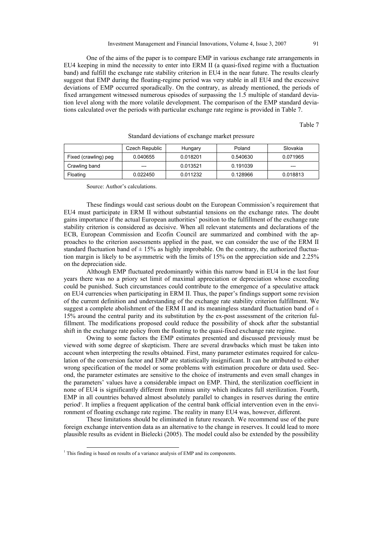One of the aims of the paper is to compare EMP in various exchange rate arrangements in EU4 keeping in mind the necessity to enter into ERM II (a quasi-fixed regime with a fluctuation band) and fulfill the exchange rate stability criterion in EU4 in the near future. The results clearly suggest that EMP during the floating-regime period was very stable in all EU4 and the excessive deviations of EMP occurred sporadically. On the contrary, as already mentioned, the periods of fixed arrangement witnessed numerous episodes of surpassing the 1.5 multiple of standard deviation level along with the more volatile development. The comparison of the EMP standard deviations calculated over the periods with particular exchange rate regime is provided in Table 7.

Table 7

|                      | Czech Republic | Hungary  | Poland   | Slovakia |
|----------------------|----------------|----------|----------|----------|
| Fixed (crawling) peg | 0.040655       | 0.018201 | 0.540630 | 0.071965 |
| Crawling band        | ---            | 0.013521 | 0.191039 | ---      |
| Floating             | 0.022450       | 0.011232 | 0.128966 | 0.018813 |

Standard deviations of exchange market pressure

Source: Author's calculations.

These findings would cast serious doubt on the European Commission's requirement that EU4 must participate in ERM II without substantial tensions on the exchange rates. The doubt gains importance if the actual European authorities' position to the fulfillment of the exchange rate stability criterion is considered as decisive. When all relevant statements and declarations of the ECB, European Commission and Ecofin Council are summarized and combined with the approaches to the criterion assessments applied in the past, we can consider the use of the ERM II standard fluctuation band of  $\pm$  15% as highly improbable. On the contrary, the authorized fluctuation margin is likely to be asymmetric with the limits of 15% on the appreciation side and 2.25% on the depreciation side.

Although EMP fluctuated predominantly within this narrow band in EU4 in the last four years there was no a priory set limit of maximal appreciation or depreciation whose exceeding could be punished. Such circumstances could contribute to the emergence of a speculative attack on EU4 currencies when participating in ERM II. Thus, the paper's findings support some revision of the current definition and understanding of the exchange rate stability criterion fulfillment. We suggest a complete abolishment of the ERM II and its meaningless standard fluctuation band of  $\pm$ 15% around the central parity and its substitution by the ex-post assessment of the criterion fulfillment. The modifications proposed could reduce the possibility of shock after the substantial shift in the exchange rate policy from the floating to the quasi-fixed exchange rate regime.

Owing to some factors the EMP estimates presented and discussed previously must be viewed with some degree of skepticism. There are several drawbacks which must be taken into account when interpreting the results obtained. First, many parameter estimates required for calculation of the conversion factor and EMP are statistically insignificant. It can be attributed to either wrong specification of the model or some problems with estimation procedure or data used. Second, the parameter estimates are sensitive to the choice of instruments and even small changes in the parameters' values have a considerable impact on EMP. Third, the sterilization coefficient in none of EU4 is significantly different from minus unity which indicates full sterilization. Fourth, EMP in all countries behaved almost absolutely parallel to changes in reserves during the entire period'. It implies a frequent application of the central bank official intervention even in the environment of floating exchange rate regime. The reality in many EU4 was, however, different.

These limitations should be eliminated in future research. We recommend use of the pure foreign exchange intervention data as an alternative to the change in reserves. It could lead to more plausible results as evident in Bielecki (2005). The model could also be extended by the possibility

<sup>&</sup>lt;sup>1</sup> This finding is based on results of a variance analysis of EMP and its components.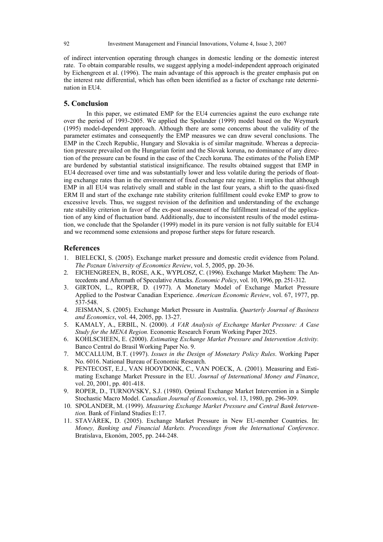of indirect intervention operating through changes in domestic lending or the domestic interest rate. To obtain comparable results, we suggest applying a model-independent approach originated by Eichengreen et al. (1996). The main advantage of this approach is the greater emphasis put on the interest rate differential, which has often been identified as a factor of exchange rate determination in EU4.

# **5. Conclusion**

In this paper, we estimated EMP for the EU4 currencies against the euro exchange rate over the period of 1993-2005. We applied the Spolander (1999) model based on the Weymark (1995) model-dependent approach. Although there are some concerns about the validity of the parameter estimates and consequently the EMP measures we can draw several conclusions. The EMP in the Czech Republic, Hungary and Slovakia is of similar magnitude. Whereas a depreciation pressure prevailed on the Hungarian forint and the Slovak koruna, no dominance of any direction of the pressure can be found in the case of the Czech koruna. The estimates of the Polish EMP are burdened by substantial statistical insignificance. The results obtained suggest that EMP in EU4 decreased over time and was substantially lower and less volatile during the periods of floating exchange rates than in the environment of fixed exchange rate regime. It implies that although EMP in all EU4 was relatively small and stable in the last four years, a shift to the quasi-fixed ERM II and start of the exchange rate stability criterion fulfillment could evoke EMP to grow to excessive levels. Thus, we suggest revision of the definition and understanding of the exchange rate stability criterion in favor of the ex-post assessment of the fulfillment instead of the application of any kind of fluctuation band. Additionally, due to inconsistent results of the model estimation, we conclude that the Spolander (1999) model in its pure version is not fully suitable for EU4 and we recommend some extensions and propose further steps for future research.

# **References**

- 1. BIELECKI, S. (2005). Exchange market pressure and domestic credit evidence from Poland. *The Poznan University of Economics Review*, vol. 5, 2005, pp. 20-36.
- 2. EICHENGREEN, B., ROSE, A.K., WYPLOSZ, C. (1996). Exchange Market Mayhem: The Antecedents and Aftermath of Speculative Attacks. *Economic Policy*, vol. 10, 1996, pp. 251-312.
- 3. GIRTON, L., ROPER, D. (1977). A Monetary Model of Exchange Market Pressure Applied to the Postwar Canadian Experience. *American Economic Review*, vol. 67, 1977, pp. 537-548.
- 4. JEISMAN, S. (2005). Exchange Market Pressure in Australia. *Quarterly Journal of Business and Economics*, vol. 44, 2005, pp. 13-27.
- 5. KAMALY, A., ERBIL, N. (2000). *A VAR Analysis of Exchange Market Pressure: A Case Study for the MENA Region.* Economic Research Forum Working Paper 2025.
- 6. KOHLSCHEEN, E. (2000). *Estimating Exchange Market Pressure and Intervention Activity.* Banco Central do Brasil Working Paper No. 9.
- 7. MCCALLUM, B.T. (1997). *Issues in the Design of Monetary Policy Rules*. Working Paper No. 6016. National Bureau of Economic Research.
- 8. PENTECOST, E.J., VAN HOOYDONK, C., VAN POECK, A. (2001). Measuring and Estimating Exchange Market Pressure in the EU. *Journal of International Money and Finance*, vol. 20, 2001, pp. 401-418.
- 9. ROPER, D., TURNOVSKY, S.J. (1980). Optimal Exchange Market Intervention in a Simple Stochastic Macro Model. *Canadian Journal of Economics*, vol. 13, 1980, pp. 296-309.
- 10. SPOLANDER, M. (1999). *Measuring Exchange Market Pressure and Central Bank Intervention.* Bank of Finland Studies E:17.
- 11. STAVÁREK, D. (2005). Exchange Market Pressure in New EU-member Countries. In: *Money, Banking and Financial Markets. Proceedings from the International Conference*. Bratislava, Ekonóm, 2005, pp. 244-248.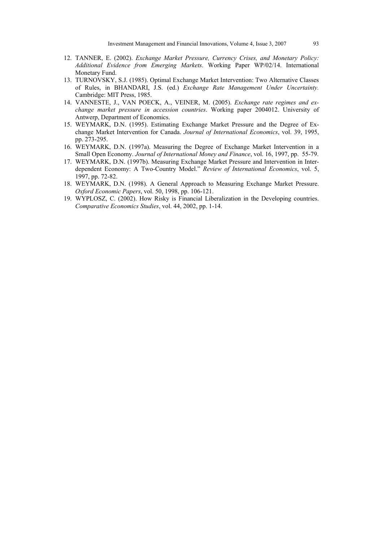- 12. TANNER, E. (2002). *Exchange Market Pressure, Currency Crises, and Monetary Policy: Additional Evidence from Emerging Markets*. Working Paper WP/02/14. International Monetary Fund.
- 13. TURNOVSKY, S.J. (1985). Optimal Exchange Market Intervention: Two Alternative Classes of Rules, in BHANDARI, J.S. (ed.) *Exchange Rate Management Under Uncertainty.*  Cambridge: MIT Press, 1985.
- 14. VANNESTE, J., VAN POECK, A., VEINER, M. (2005). *Exchange rate regimes and exchange market pressure in accession countries*. Working paper 2004012. University of Antwerp, Department of Economics.
- 15. WEYMARK, D.N. (1995). Estimating Exchange Market Pressure and the Degree of Exchange Market Intervention for Canada. *Journal of International Economics*, vol. 39, 1995, pp. 273-295.
- 16. WEYMARK, D.N. (1997a). Measuring the Degree of Exchange Market Intervention in a Small Open Economy. *Journal of International Money and Finance*, vol. 16, 1997, pp. 55-79.
- 17. WEYMARK, D.N. (1997b). Measuring Exchange Market Pressure and Intervention in Interdependent Economy: A Two-Country Model." *Review of International Economics*, vol. 5, 1997, pp. 72-82.
- 18. WEYMARK, D.N. (1998). A General Approach to Measuring Exchange Market Pressure. *Oxford Economic Papers*, vol. 50, 1998, pp. 106-121.
- 19. WYPLOSZ, C. (2002). How Risky is Financial Liberalization in the Developing countries. *Comparative Economics Studies*, vol. 44, 2002, pp. 1-14.